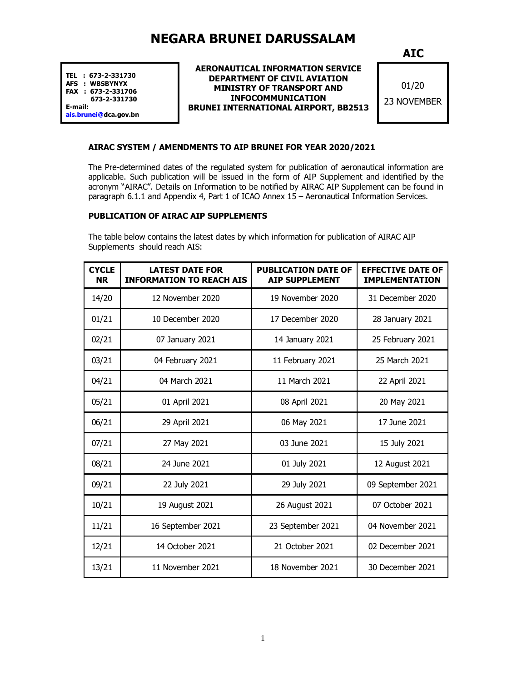# **NEGARA BRUNEI DARUSSALAM**

**TEL : 673-2-331730 AFS : WBSBYNYX FAX : 673-2-331706 673-2-331730 E-mail:**

**ais.brunei@dca.gov.bn** 

### **AERONAUTICAL INFORMATION SERVICE DEPARTMENT OF CIVIL AVIATION MINISTRY OF TRANSPORT AND INFOCOMMUNICATION BRUNEI INTERNATIONAL AIRPORT, BB2513**

**AIC**

01/20 23 NOVEMBER

## **AIRAC SYSTEM / AMENDMENTS TO AIP BRUNEI FOR YEAR 2020/2021**

The Pre-determined dates of the regulated system for publication of aeronautical information are applicable. Such publication will be issued in the form of AIP Supplement and identified by the acronym "AIRAC". Details on Information to be notified by AIRAC AIP Supplement can be found in paragraph 6.1.1 and Appendix 4, Part 1 of ICAO Annex 15 – Aeronautical Information Services.

### **PUBLICATION OF AIRAC AIP SUPPLEMENTS**

The table below contains the latest dates by which information for publication of AIRAC AIP Supplements should reach AIS:

| <b>CYCLE</b><br><b>NR</b> | <b>LATEST DATE FOR</b><br><b>INFORMATION TO REACH AIS</b> | <b>PUBLICATION DATE OF</b><br><b>AIP SUPPLEMENT</b> | <b>EFFECTIVE DATE OF</b><br><b>IMPLEMENTATION</b> |
|---------------------------|-----------------------------------------------------------|-----------------------------------------------------|---------------------------------------------------|
| 14/20                     | 12 November 2020                                          | 19 November 2020                                    | 31 December 2020                                  |
| 01/21                     | 10 December 2020                                          | 17 December 2020                                    | 28 January 2021                                   |
| 02/21                     | 07 January 2021                                           | 14 January 2021                                     | 25 February 2021                                  |
| 03/21                     | 04 February 2021                                          | 11 February 2021                                    | 25 March 2021                                     |
| 04/21                     | 04 March 2021                                             | 11 March 2021                                       | 22 April 2021                                     |
| 05/21                     | 01 April 2021                                             | 08 April 2021                                       | 20 May 2021                                       |
| 06/21                     | 29 April 2021                                             | 06 May 2021                                         | 17 June 2021                                      |
| 07/21                     | 27 May 2021                                               | 03 June 2021                                        | 15 July 2021                                      |
| 08/21                     | 24 June 2021                                              | 01 July 2021                                        | 12 August 2021                                    |
| 09/21                     | 22 July 2021                                              | 29 July 2021                                        | 09 September 2021                                 |
| 10/21                     | 19 August 2021                                            | 26 August 2021                                      | 07 October 2021                                   |
| 11/21                     | 16 September 2021                                         | 23 September 2021                                   | 04 November 2021                                  |
| 12/21                     | 14 October 2021                                           | 21 October 2021                                     | 02 December 2021                                  |
| 13/21                     | 11 November 2021                                          | 18 November 2021                                    | 30 December 2021                                  |